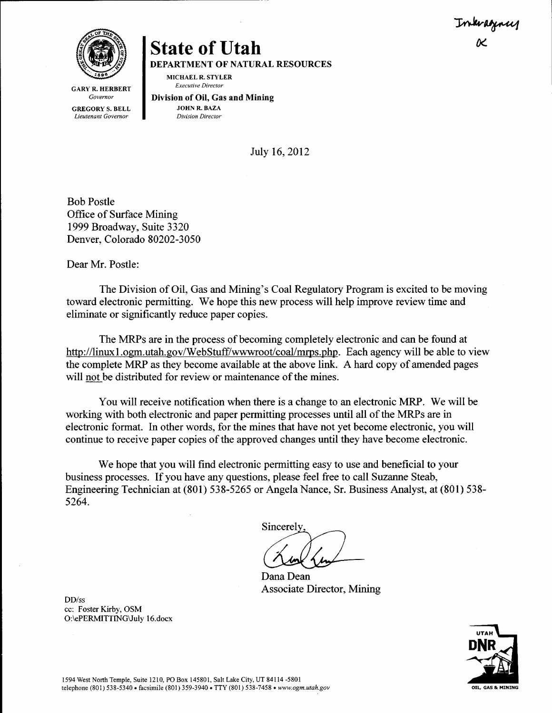Inkragnus K



**State of Utah** 

DEPARTMENT OF NATURAL RESOURCES MICHAELR. STYLER

Executive Director

**GARY R. HERBERT** Governor

GREGORY S. BELL Lieutenant Governor

Division of Oil, Gas and Mining JOHN R. BAZA Division Director

Julv 16,2012

Bob Postle Office of Surface Mining 1999 Broadway, Suite 3320 Denver, Colorado 80202-3050

Dear Mr. Postle:

DD/ss

cc: Foster Kirby, OSM

O:\ePERMITTING\July 16.docx

The Division of Oil, Gas and Mining's Coal Regulatory Program is excited to be moving toward electronic permitting. We hope this new process will help improve review time and eliminate or significantly reduce paper copies.

The MRPs are in the process of becoming completely electronic and can be found at http://linuxl.ogm.utah.gov/WebStuff/ww.wroot/coal/mrps.php. Each agency will be able to view the complete MRP as they become available at the above link. A hard copy of amended pages will not be distributed for review or maintenance of the mines.

You will receive notification when there is a change to an electronic MRP. We will be working with both electronic and paper permitting processes until all of the MRPs are in electronic format. In other words, for the mines that have not yet become electronic, you will continue to receive paper copies of the approved changes until they have become electronic.

We hope that you will find electronic permitting easy to use and beneficial to your business processes. [f you have any questions, please feel free to call Suzanne Steab, Engineering Technician at (801) 538-5265 or Angela Nance, Sr. Business Analyst, at (801) 538-5264.

Sincerely

Dana Dean Associate Director, Mining

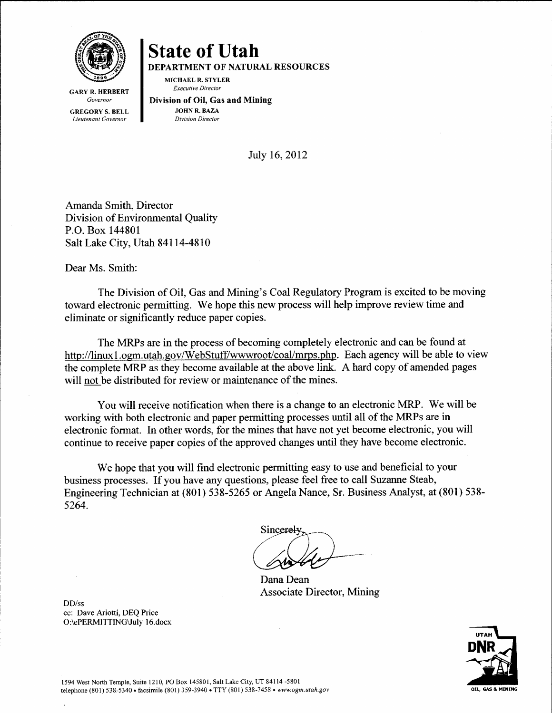

MICHAEL R. STYLER Executive Director

DEPARTMENT OF NATURAL RESOURCES

GARY R. HERBERT Governor GREGORY S. BELL

Lieutenant Govemor

Division of Oil, Gas and Mining JOHN R. BAZA Division Director

Julv 16.2012

Amanda Smith. Director Division of Environmental Quality P.O. Box 144801 Salt Lake City, Utah 84114-4810

Dear Ms. Smith:

The Division of Oil, Gas and Mining's Coal Regulatory Program is excited to be moving toward electronic permitting. We hope this new process will help improve review time and eliminate or significantly reduce paper copies.

The MRPs are in the process of becoming completely electronic and can be found at http://linux1.ogm.utah.gov/WebStuff/wwwroot/coal/mrps.php. Each agency will be able to view the complete MRP as they become available at the above link. A hard copy of amended pages will not be distributed for review or maintenance of the mines.

You will receive notification when there is a change to an electronic MRP. We will be working with both electronic and paper permitting processes until all of the MRPs are in electronic format. In other words, for the mines that have not yet become electronic, you will continue to receive paper copies of the approved changes until they have become electronic.

We hope that you will find electronic permitting easy to use and beneficial to your business processes. If you have any questions, please feel free to call Suzanne Steab, Engineering Technician at (801) 538-5265 or Angela Nance, Sr. Business Analyst, at (801) 538-5264.

Sincerel

Dana Dean Associate Director, Mining

DD/ss cc: Dave Ariotti, DEQ Price O:\ePERMITTING\July 16.docx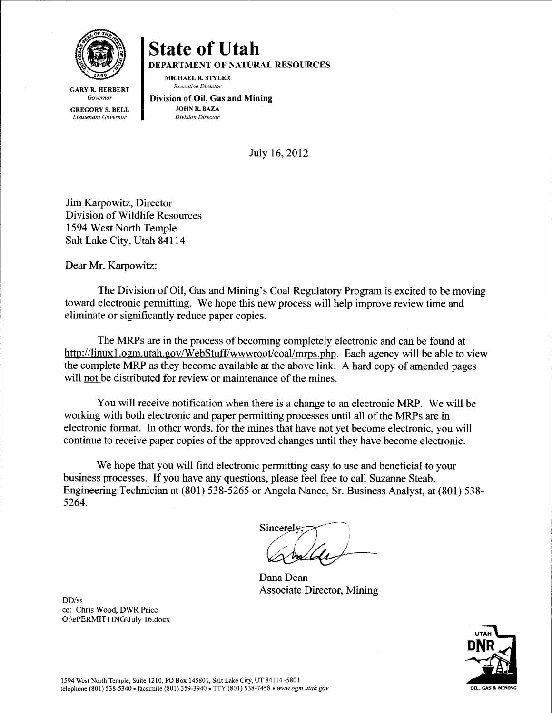

DEPARTMENT OF NATURAL RESOURCES

MICHAEL R. STYLER Executive Director

**GARY R. HERBERT** Governor GREGORY S. BELL Lieutenant Governor

Division of 0il, Gas and Mining JOHN R. BAZA Division Director

July 16,2012

Jim Karpowitz, Director Division of Wildlife Resources 1594 West North Temple Salt Lake City, Utah 841l4

Dear Mr. Karpowitz:

The Division of Oil, Gas and Mining's Coal Regulatory Program is excited to be moving toward electronic permitting. We hope this new process will help improve review time and eliminate or significantly reduce paper copies.

The MRPs are in the process of becoming completely electronic and can be found at http://linux1.ogm.utah.gov/WebStuff/wwwroot/coal/mrps.php. Each agency will be able to view the complete MRP as they become available at the above link. A hard copy of amended pages will not be distributed for review or maintenance of the mines.

You will receive notification when there is a change to an electronic MRP. We will be working with both electronic and paper permitting processes until all of the MRPs are in electronic format. In other words, for the mines that have not yet become electronic, you will continue to receive paper copies of the approved changes until they have become electronic.

We hope that you will find electronic permitting easy to use and beneficial to your business processes. If you have any questions, please feel free to call Suzanne Steab, Engineering Technician at (801) 538-5265 or Angela Nance, Sr. Business Analyst, at (801) 53S-5264.

Sincerely

Dana Dean Associate Director, Mining

OIL. GAS & MINIP

DD/ss cc: Chris Wood, DWR Price O:\ePERMITTING\July 16.docx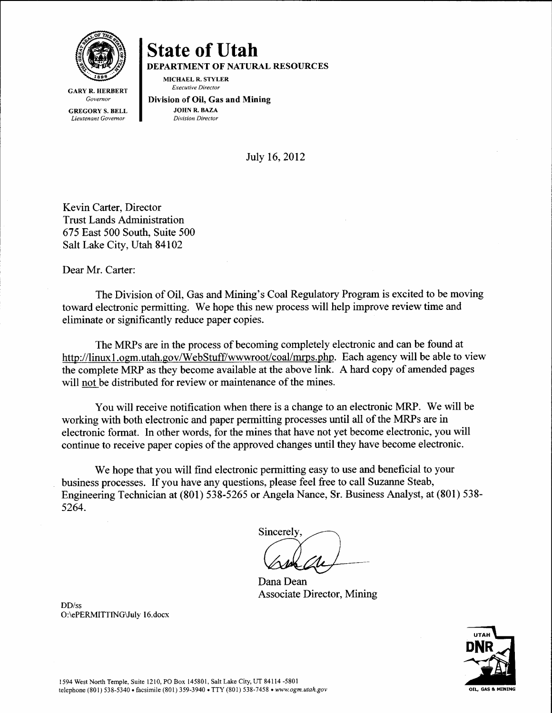

DEPARTMENT OF NATURAL RESOURCES

MICHAEL R. STYLER Executive Director

**GARY R. HERBERT** Governor GREGORY S. BELL Lieutenant Govemor

Division of Oil, Gas and Mining JOHN R. BAZA Division Director

July 16, 2012

Kevin Carter, Director Trust Lands Administration 675 East 500 South, Suite 500 Salt Lake City, Utah 84102

Dear Mr. Carter:

The Division of Oil, Gas and Mining's Coal Regulatory Program is excited to be moving toward electronic permitting. We hope this new process will help improve review time and eliminate or significantly reduce paper copies.

The MRPs are in the process of becoming completely electronic and can be found at http://linux1.ogm.utah.gov/WebStuff/wwwroot/coal/mrps.php. Each agency will be able to view the complete MRP as they become available at the above link. A hard copy of amended pages will not be distributed for review or maintenance of the mines.

You will receive notification when there is a change to an electronic MRP. We will be working with both electronic and paper permitting processes until all of the MRPs are in electronic format. In other words, for the mines that have not yet become electronic, you will continue to receive paper copies of the approved changes until they have become electronic.

We hope that you will find electronic permitting easy to use and beneficial to your business processes. If you have any questions, please feel free to call Suzanne Steab, Engineering Technician at (801) 538-5265 or Angela Nance, Sr. Business Analyst, at (801) 538-5264.

**Sincerely** 

Dana Dean Associate Director, Mining



O:\ePERMITTING\July 16.docx

DD/ss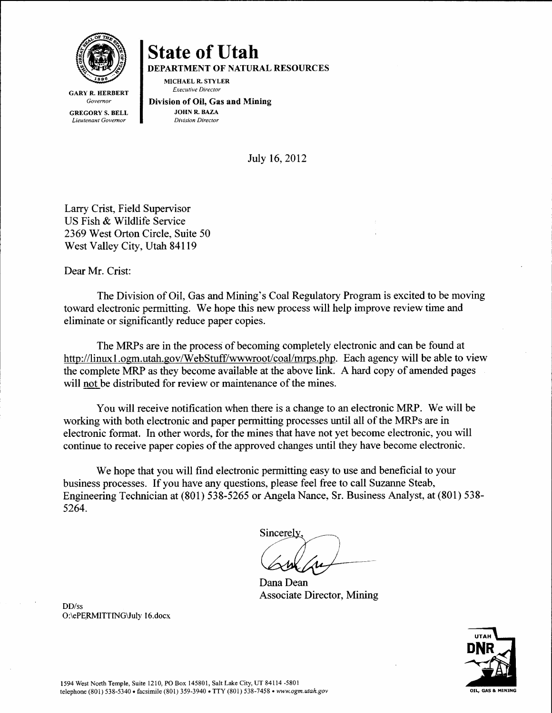

DEPARTMENT OF NATURAL RESOURCES

MICHAEL R. STYLER **Executive Director** 

**GARY R. HERBERT** Governor GREGORY S. BELL Lieutenant Governor

Division of Oil, Gas and Mining JOHN R. BAZA Division Director

Julv 16.2012

Larry Crist, Field Supervisor US Fish & Wildlife Service 2369 West Orton Circle, Suite 50 West Valley City, Utah 841 l9

Dear Mr. Crist:

The Division of Oil, Gas and Mining's Coal Regulatory Program is excited to be moving toward electronic permitting. We hope this new process will help improve review time and eliminate or significantly reduce paper copies.

The MRPs are in the process of becoming completely electronic and can be found at http://linux1.ogm.utah.gov/WebStuff/wwwroot/coal/mrps.php. Each agency will be able to view the complete MRP as they become available at the above link. A hard copy of amended pages will not be distributed for review or maintenance of the mines.

You will receive notification when there is a change to an electronic MRP. We will be working with both electronic and paper permitting processes until all of the MRPs are in electronic format. In other words, for the mines that have not yet become electronic, you will continue to receive paper copies of the approved changes until they have become electronic.

We hope that you will find electronic permitting easy to use and beneficial to your business processes. If you have any questions, please feel free to call Suzanne Steab, Engineering Technician at (801) 538-5265 or Angela Nance, Sr. Business Analyst, at (801) 538-5264.

Sincerely

Dana Dean Associate Director, Mining



DD/ss O:\ePERMITTING\JuIy I 6.docx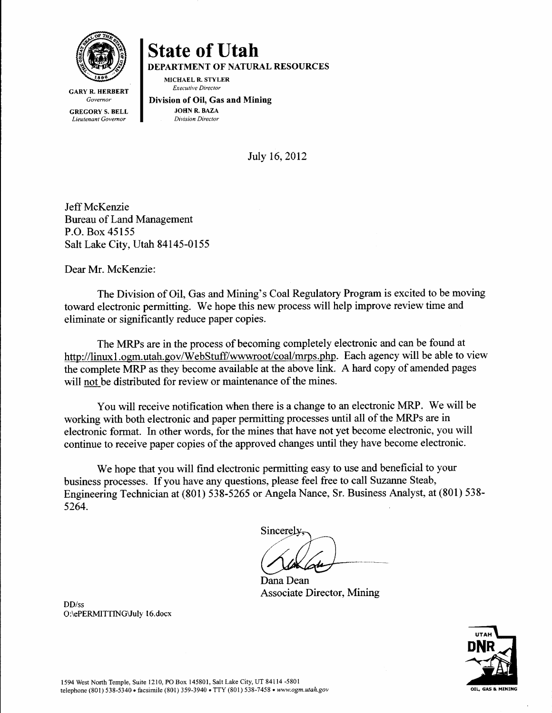

DEPARTMENT OF NATURAL RESOURCES

MICHAEL R. STYLER Executive Director

**GARY R. HERBERT** Governor GREGORY S. BELL Lieutenant Governor

Division of Oil, Gas and Mining JOHN R. BAZA Division Director

July 16.2012

Jeff McKenzie Bureau of Land Management P.O. Box 45155 Salt Lake City, Utah 84145-0155

Dear Mr. McKenzie:

The Division of Oil, Gas and Mining's Coal Regulatory Program is excited to be moving toward electronic permitting. We hope this new process will help improve review time and eliminate or significantly reduce paper copies.

The MRPs are in the process of becoming completely electronic and can be found at http://linux1.ogm.utah.gov/WebStuff/wwwroot/coal/mrps.php. Each agency will be able to view the complete MRP as they become available at the above link. A hard copy of amended pages will not be distributed for review or maintenance of the mines.

You will receive notification when there is a change to an electronic MRP. We will be working with both electronic and paper permitting processes until all of the MRPs are in electronic format. In other words, for the mines that have not yet become electronic, you will continue to receive paper copies of the approved changes until they have become electronic.

We hope that you will find electronic permitting easy to use and beneficial to your business processes. If you have any questions, please feel free to call Suzanne Steab, Engineering Technician at (801) 538-5265 or Angela Nance, Sr. Business Analyst, at (801) 538-5264.

Sincerely

Dana Dean Associate Director, Mining

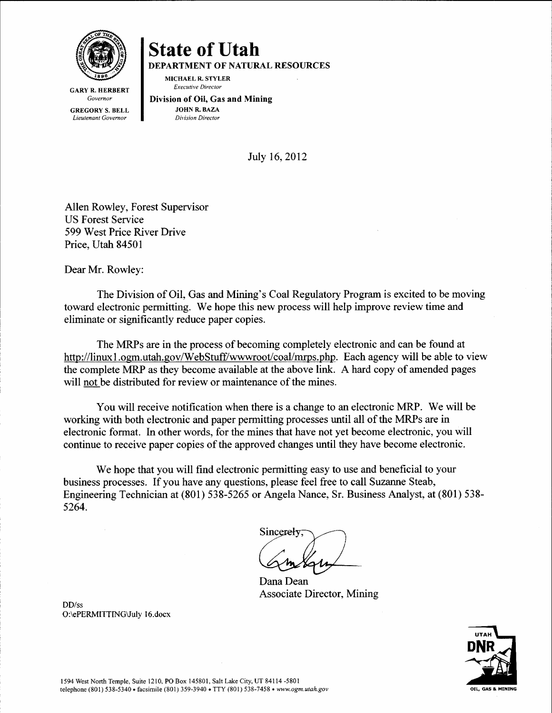

DEPARTMENT OF NATURAL RESOURCES

**MICHAEL R. STYLER** Executive Director

GARY R. HERBERT Governor GREGORY S. BELL Lieutenant Governor

Division of OiI, Gas and Mining JOHN R. BAZA Division Director

July 16,2012

Allen Rowley, Forest Supervisor US Forest Service 599 West Price River Drive Price, Utah 84501

Dear Mr. Rowley:

The Division of Oil, Gas and Mining's Coal Regulatory Program is excited to be moving toward electronic permitting. We hope this new process will help improve review time and eliminate or significantly reduce paper copies.

The MRPs are in the process of becoming completely electronic and can be found at http://linux1.ogm.utah.gov/WebStuff/wwwroot/coal/mrps.php. Each agency will be able to view the complete MRP as they become available at the above link. A hard copy of amended pages will not be distributed for review or maintenance of the mines.

You will receive notification when there is a change to an electronic MRP. We will be working with both electronic and paper permitting processes until all of the MRPs are in electronic format. In other words, for the mines that have not yet become electronic, you will continue to receive paper copies of the approved changes until they have become electronic.

We hope that you will find electronic permitting easy to use and beneficial to your business processes. If you have any questions, please feel free to call Suzanne Steab, Engineering Technician at (801) 538-5265 or Angela Nance, Sr. Business Analyst, at (801) 538-5264.

Sincerely

Associate Director, Mining Dana Dean



DD/ss O:\ePERMITTING\JuIy I 6.docx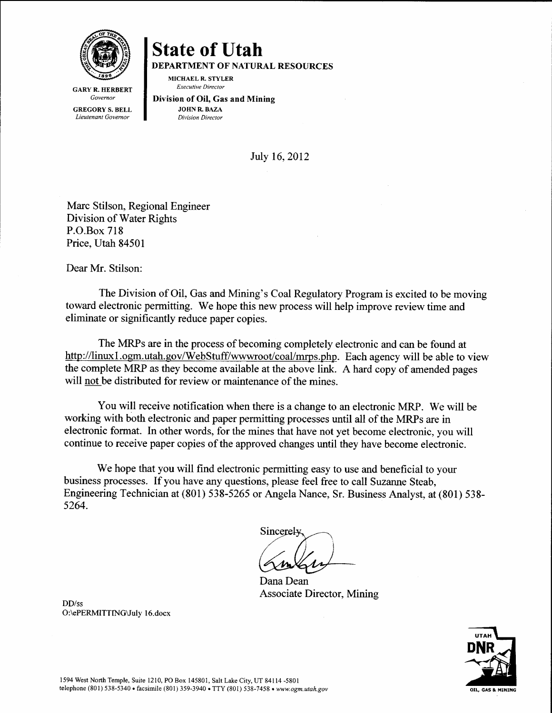

DEPARTMENT OF NATURAL RESOURCES

MICHAEL R. STYLER Executive Director

**GARY R. HERBERT** Governor GREGORY S. BELL Lieutenant Governor

Division of Oil, Gas and Mining JOHN R. BAZA Division Director

Julv 16.2012

Marc Stilson, Regional Engineer Division of Water Rights P.O.Box 718 Price. Utah 84501

Dear Mr. Stilson:

The Division of Oil, Gas and Mining's Coal Regulatory Program is excited to be moving toward electronic permitting. We hope this new process will help improve review time and eliminate or significantly reduce paper copies.

The MRPs are in the process of becoming completely electronic and can be found at http://linux1.ogm.utah.gov/WebStuff/wwwroot/coal/mrps.php. Each agency will be able to view the complete MRP as they become available at the above link. A hard copy of amended pages will not be distributed for review or maintenance of the mines.

You will receive notification when there is a change to an electronic MRP. We will be working with both electronic and paper permitting processes until all of the MRPs are in electronic format. In other words, for the mines that have not yet become electronic, you will continue to receive paper copies of the approved changes until they have become electronic.

We hope that you will find electronic permitting easy to use and beneficial to your business processes. If you have any questions, please feel free to call Suzanne Steab, Engineering Technician at (801) 538-5265 or Angela Nance, Sr. Business Analyst, at (801) 538s264.

Sincerel

Associate Director, Mining Dana Dean



DD/ss O:\ePERMITTING\July 16.docx